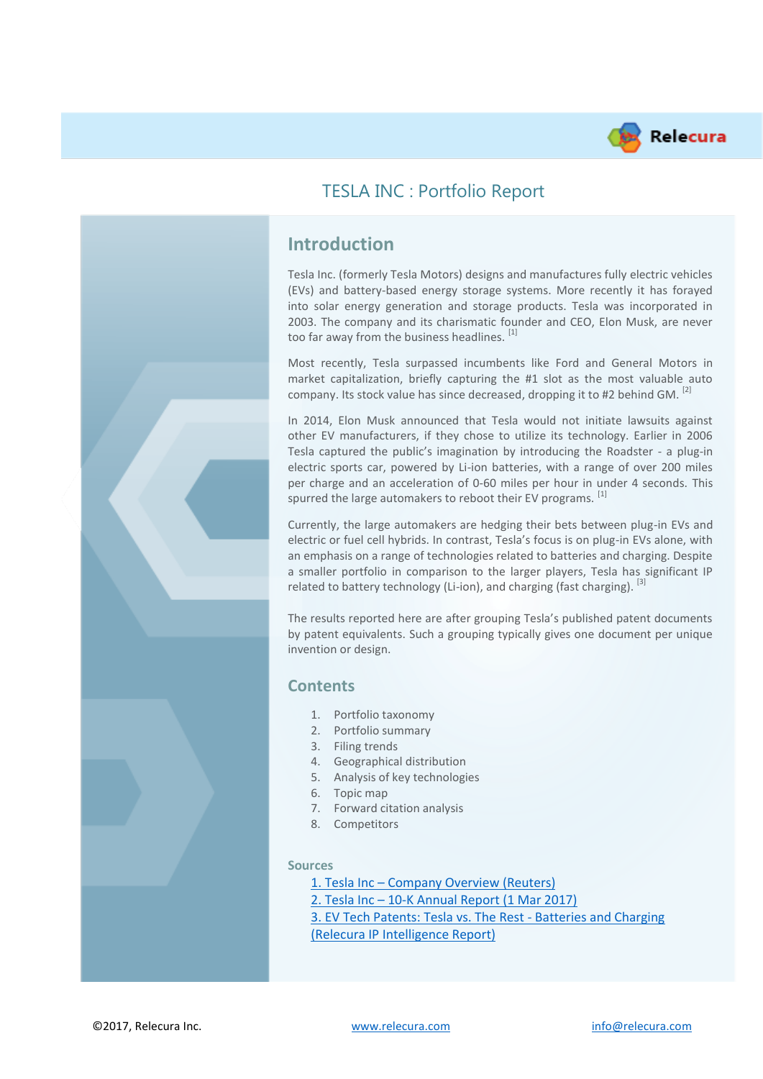

## TESLA INC : Portfolio Report

# **Introduction**

Tesla Inc. (formerly Tesla Motors) designs and manufactures fully electric vehicles (EVs) and battery-based energy storage systems. More recently it has forayed into solar energy generation and storage products. Tesla was incorporated in 2003. The company and its charismatic founder and CEO, Elon Musk, are never too far away from the business headlines. [1]

Most recently, Tesla surpassed incumbents like Ford and General Motors in market capitalization, briefly capturing the #1 slot as the most valuable auto company. Its stock value has since decreased, dropping it to #2 behind GM. <sup>[2]</sup>

In 2014, Elon Musk announced that Tesla would not initiate lawsuits against other EV manufacturers, if they chose to utilize its technology. Earlier in 2006 Tesla captured the public's imagination by introducing the Roadster - a plug-in electric sports car, powered by Li-ion batteries, with a range of over 200 miles per charge and an acceleration of 0-60 miles per hour in under 4 seconds. This spurred the large automakers to reboot their EV programs. [1]

Currently, the large automakers are hedging their bets between plug-in EVs and electric or fuel cell hybrids. In contrast, Tesla's focus is on plug-in EVs alone, with an emphasis on a range of technologies related to batteries and charging. Despite a smaller portfolio in comparison to the larger players, Tesla has significant IP related to battery technology (Li-ion), and charging (fast charging),  $^{[3]}$ 

The results reported here are after grouping Tesla's published patent documents by patent equivalents. Such a grouping typically gives one document per unique invention or design.

### **Contents**

- 1. Portfolio taxonomy
- 2. Portfolio summary
- 3. Filing trends
- 4. Geographical distribution
- 5. Analysis of key technologies
- 6. Topic map
- 7. Forward citation analysis
- 8. Competitors

#### **Sources**

- 1. Tesla Inc [Company Overview](https://in.reuters.com/finance/stocks/overview/TSLA.OQ) (Reuters)
- 2. Tesla Inc [10-K Annual Report](http://ir.tesla.com/static-files/aa24aa71-7015-49fd-b11a-99a4e56d2be2) (1 Mar 2017)

[3. EV Tech Patents: Tesla vs. The Rest -](https://relecura.com/reports/Tesla_EV.pdf) Batteries and Charging [\(Relecura IP Intelligence Report\)](https://relecura.com/reports/Tesla_EV.pdf)

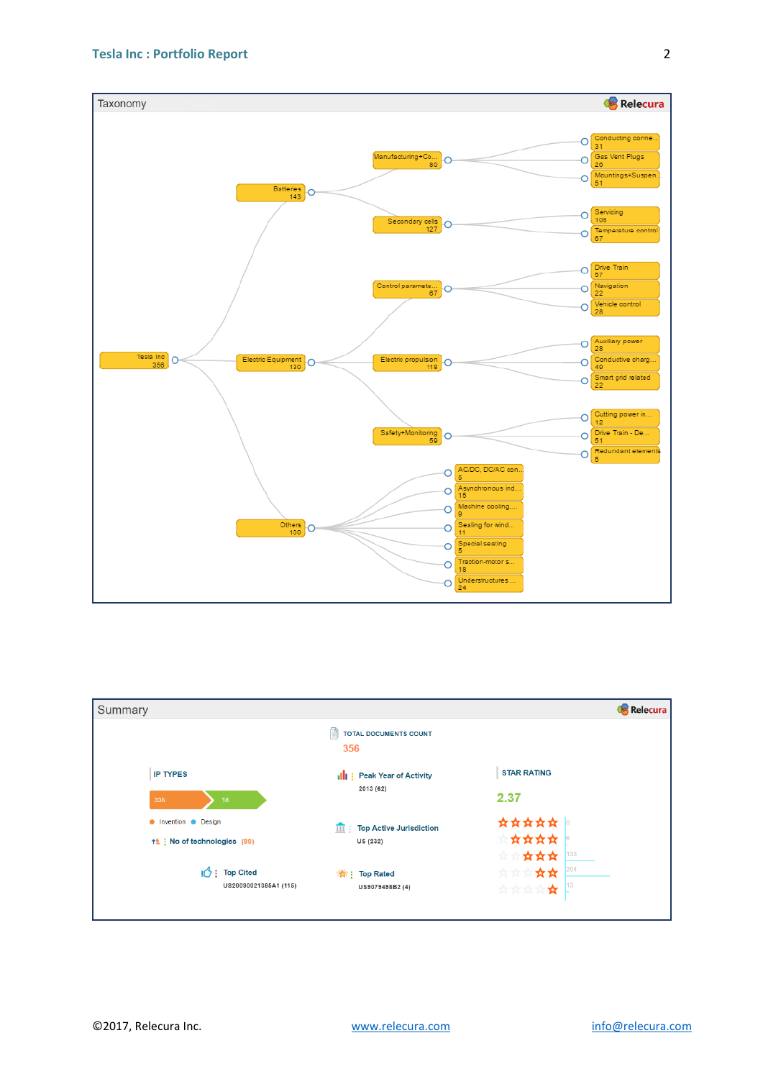

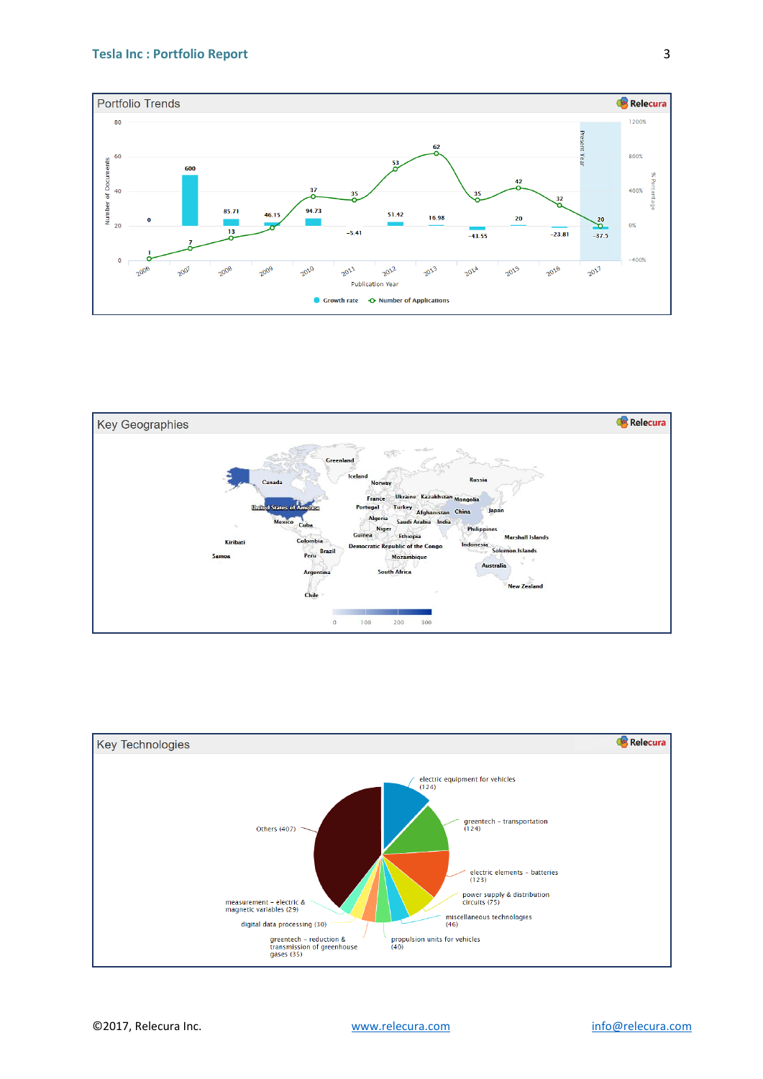#### **Tesla Inc : Portfolio Report**





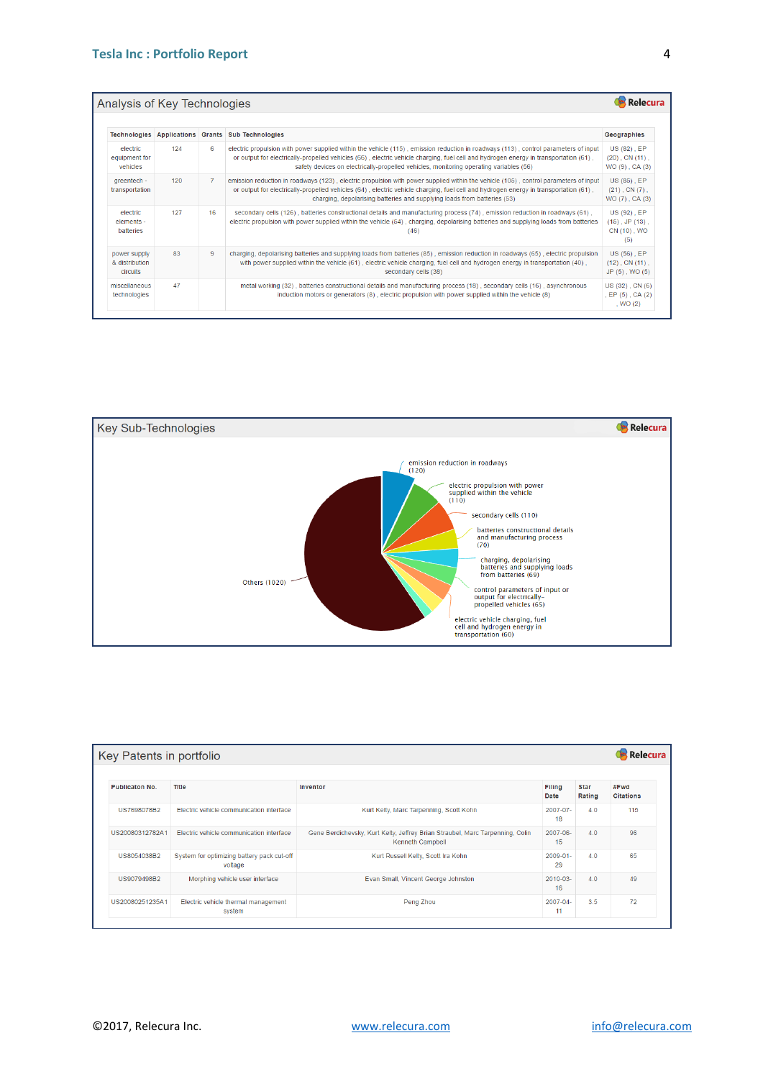| Analysis of Key Technologies<br>Relecura   |     |                |                                                                                                                                                                                                                                                                                                                                                                       |                                                           |  |  |
|--------------------------------------------|-----|----------------|-----------------------------------------------------------------------------------------------------------------------------------------------------------------------------------------------------------------------------------------------------------------------------------------------------------------------------------------------------------------------|-----------------------------------------------------------|--|--|
|                                            |     |                | Technologies Applications Grants Sub Technologies                                                                                                                                                                                                                                                                                                                     | Geographies                                               |  |  |
| electric<br>equipment for<br>vehicles      | 124 | 6              | electric propulsion with power supplied within the vehicle (115), emission reduction in roadways (113), control parameters of input<br>or output for electrically-propelled vehicles (66), electric vehicle charging, fuel cell and hydrogen energy in transportation (61),<br>safety devices on electrically-propelled vehicles, monitoring operating variables (56) | US (82), EP<br>$(20)$ , CN $(11)$ ,<br>WO (9), CA (3)     |  |  |
| greentech -<br>transportation              | 120 | $\overline{7}$ | emission reduction in roadways (123), electric propulsion with power supplied within the vehicle (105), control parameters of input<br>or output for electrically-propelled vehicles (64), electric vehicle charging, fuel cell and hydrogen energy in transportation (61),<br>charging, depolarising batteries and supplying loads from batteries (53)               | US (85), EP<br>$(21)$ , CN $(7)$ .<br>WO (7), CA (3)      |  |  |
| electric<br>elements -<br>batteries        | 127 | 16             | secondary cells (126), batteries constructional details and manufacturing process (74), emission reduction in roadways (61),<br>electric propulsion with power supplied within the vehicle (54), charging, depolarising batteries and supplying loads from batteries<br>(46)                                                                                          | US (92), EP<br>$(15)$ , JP $(13)$ ,<br>CN (10), WO<br>(5) |  |  |
| power supply<br>& distribution<br>circuits | 83  | 9              | charging, depolarising batteries and supplying loads from batteries (85), emission reduction in roadways (65), electric propulsion<br>with power supplied within the vehicle (61), electric vehicle charging, fuel cell and hydrogen energy in transportation (40),<br>secondary cells (38)                                                                           | US (56), EP<br>$(12)$ , CN $(11)$ ,<br>$JP(5)$ , $WO(5)$  |  |  |
| miscellaneous<br>technologies              | 47  |                | metal working (32), batteries constructional details and manufacturing process (18), secondary cells (16), asynchronous<br>induction motors or generators (8), electric propulsion with power supplied within the vehicle (8)                                                                                                                                         | US (32), CN (6)<br>, EP (5), CA (2)<br>, WO $(2)$         |  |  |



| Key Patents in portfolio |                                                       |                                                                                                   |                     |                |                          |  |  |
|--------------------------|-------------------------------------------------------|---------------------------------------------------------------------------------------------------|---------------------|----------------|--------------------------|--|--|
| <b>Publicaton No.</b>    | Title                                                 | Inventor                                                                                          | Filing<br>Date      | Star<br>Rating | #Fwd<br><b>Citations</b> |  |  |
| US7698078B2              | Electric vehicle communication interface              | Kurt Kelty, Marc Tarpenning, Scott Kohn                                                           | $2007 - 07 -$<br>18 | 4.0            | 115                      |  |  |
| US20080312782A1          | Electric vehicle communication interface              | Gene Berdichevsky, Kurt Kelty, Jeffrey Brian Straubel, Marc Tarpenning, Colin<br>Kenneth Campbell | 2007-06-<br>15      | 4.0            | 96                       |  |  |
| US8054038B2              | System for optimizing battery pack cut-off<br>voltage | Kurt Russell Kelty, Scott Ira Kohn                                                                | 2009-01-<br>29      | 4.0            | 65                       |  |  |
| US9079498B2              | Morphing vehicle user interface                       | Evan Small, Vincent George Johnston                                                               | 2010-03-<br>16      | 40             | 49                       |  |  |
| US20080251235A1          | Electric vehicle thermal management<br>system         | Peng Zhou                                                                                         | 2007-04-<br>11      | 3.5            | 72                       |  |  |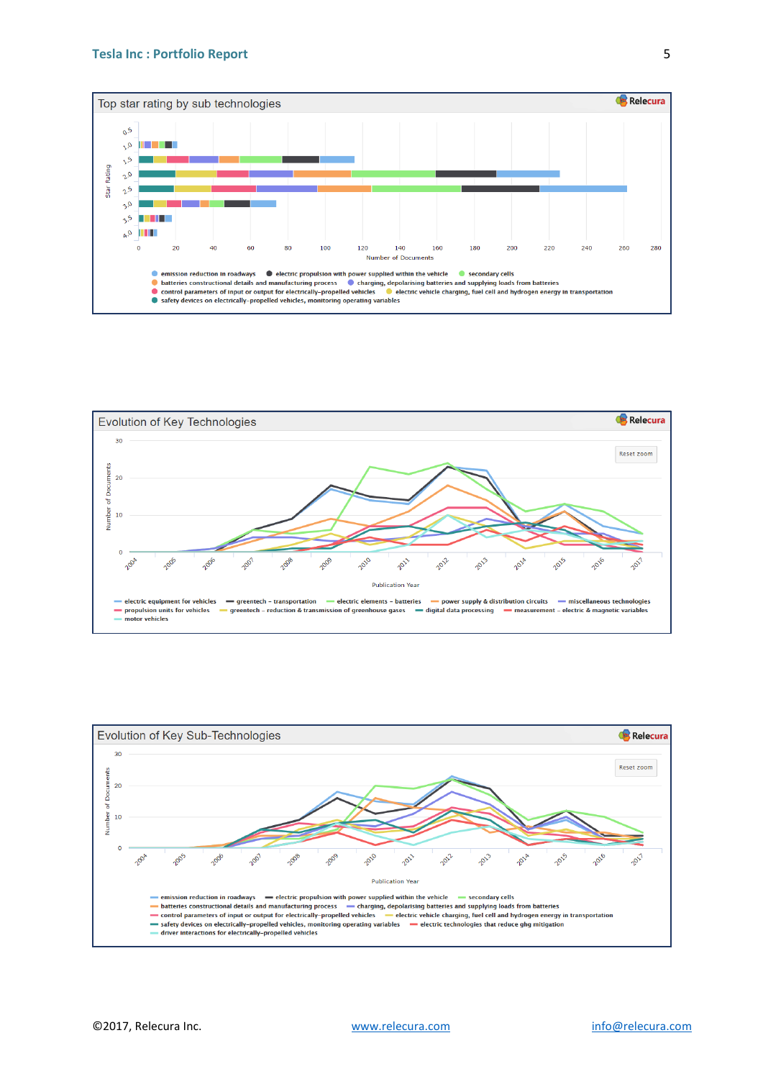#### **Tesla Inc : Portfolio Report**





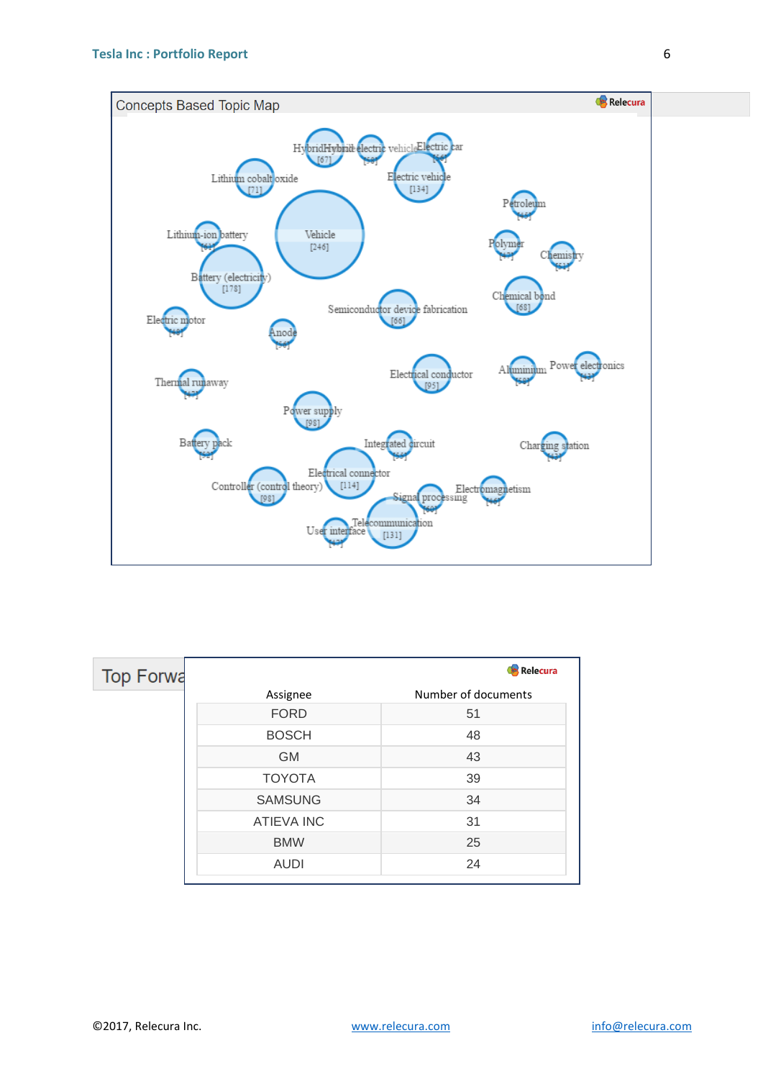

 $[131]$ 

| <b>Top Forwa</b> |                   | Relecura            |
|------------------|-------------------|---------------------|
|                  | Assignee          | Number of documents |
|                  | <b>FORD</b>       | 51                  |
|                  | <b>BOSCH</b>      | 48                  |
|                  | <b>GM</b>         | 43                  |
|                  | <b>TOYOTA</b>     | 39                  |
|                  | <b>SAMSUNG</b>    | 34                  |
|                  | <b>ATIEVA INC</b> | 31                  |
|                  | <b>BMW</b>        | 25                  |
|                  | <b>AUDI</b>       | 24                  |

in.